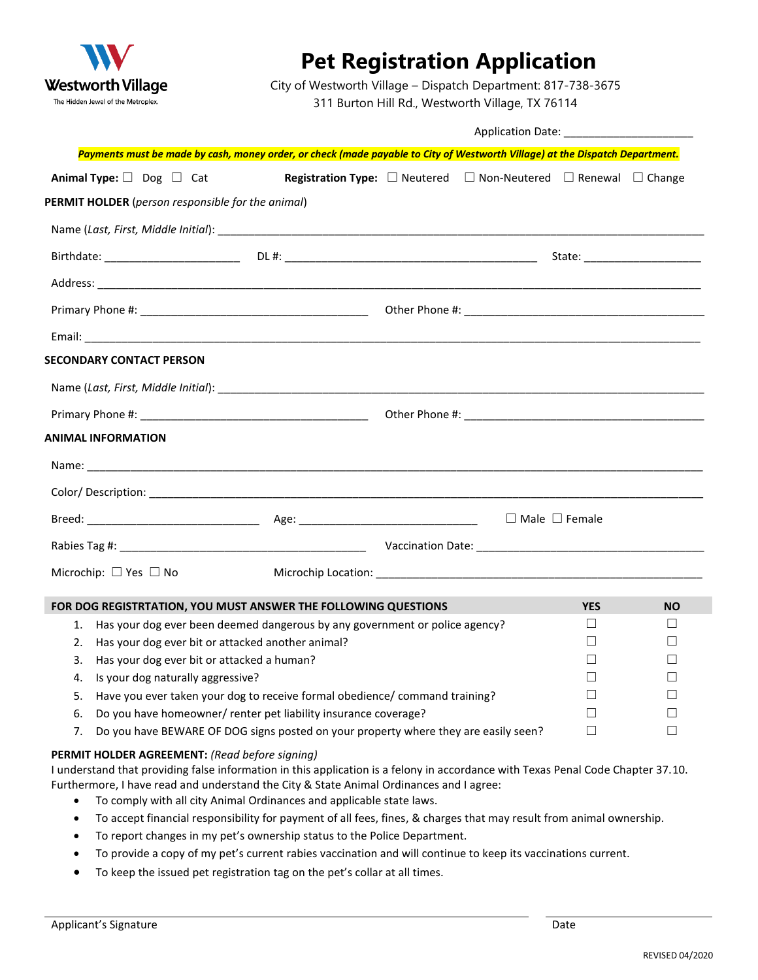

## **Pet Registration Application**

City of Westworth Village – Dispatch Department: 817-738-3675

311 Burton Hill Rd., Westworth Village, TX 76114

| <b>Application Date:</b> |  |
|--------------------------|--|
|                          |  |

|           |                                                                             | Payments must be made by cash, money order, or check (made payable to City of Westworth Village) at the Dispatch Department.                                                                                                                                                                        |  |              |            |           |
|-----------|-----------------------------------------------------------------------------|-----------------------------------------------------------------------------------------------------------------------------------------------------------------------------------------------------------------------------------------------------------------------------------------------------|--|--------------|------------|-----------|
|           | Animal Type: $\Box$ Dog $\Box$ Cat                                          | <b>Registration Type:</b> $\square$ Neutered $\square$ Non-Neutered $\square$ Renewal $\square$ Change                                                                                                                                                                                              |  |              |            |           |
|           | PERMIT HOLDER (person responsible for the animal)                           |                                                                                                                                                                                                                                                                                                     |  |              |            |           |
|           |                                                                             |                                                                                                                                                                                                                                                                                                     |  |              |            |           |
|           |                                                                             |                                                                                                                                                                                                                                                                                                     |  |              |            |           |
|           |                                                                             |                                                                                                                                                                                                                                                                                                     |  |              |            |           |
|           |                                                                             |                                                                                                                                                                                                                                                                                                     |  |              |            |           |
|           |                                                                             |                                                                                                                                                                                                                                                                                                     |  |              |            |           |
|           | <b>SECONDARY CONTACT PERSON</b>                                             |                                                                                                                                                                                                                                                                                                     |  |              |            |           |
|           |                                                                             |                                                                                                                                                                                                                                                                                                     |  |              |            |           |
|           |                                                                             |                                                                                                                                                                                                                                                                                                     |  |              |            |           |
|           | <b>ANIMAL INFORMATION</b>                                                   |                                                                                                                                                                                                                                                                                                     |  |              |            |           |
|           |                                                                             |                                                                                                                                                                                                                                                                                                     |  |              |            |           |
|           |                                                                             |                                                                                                                                                                                                                                                                                                     |  |              |            |           |
|           |                                                                             |                                                                                                                                                                                                                                                                                                     |  |              |            |           |
|           |                                                                             |                                                                                                                                                                                                                                                                                                     |  |              |            |           |
|           |                                                                             |                                                                                                                                                                                                                                                                                                     |  |              |            |           |
|           | Microchip: $\Box$ Yes $\Box$ No                                             |                                                                                                                                                                                                                                                                                                     |  |              |            |           |
|           |                                                                             | FOR DOG REGISTRTATION, YOU MUST ANSWER THE FOLLOWING QUESTIONS                                                                                                                                                                                                                                      |  |              | <b>YES</b> | <b>NO</b> |
| 1.        |                                                                             | Has your dog ever been deemed dangerous by any government or police agency?                                                                                                                                                                                                                         |  |              | ⊔          | ⊔         |
| 2.        | Has your dog ever bit or attacked another animal?                           |                                                                                                                                                                                                                                                                                                     |  |              | $\perp$    |           |
| 3.        | Has your dog ever bit or attacked a human?                                  |                                                                                                                                                                                                                                                                                                     |  |              |            |           |
| 4.        | Is your dog naturally aggressive?                                           |                                                                                                                                                                                                                                                                                                     |  |              |            |           |
| 5.        | Have you ever taken your dog to receive formal obedience/ command training? |                                                                                                                                                                                                                                                                                                     |  | $\Box$       |            |           |
| 6.        | Do you have homeowner/ renter pet liability insurance coverage?             |                                                                                                                                                                                                                                                                                                     |  | $\mathsf{L}$ |            |           |
| 7.        |                                                                             | Do you have BEWARE OF DOG signs posted on your property where they are easily seen?                                                                                                                                                                                                                 |  |              | П          | П         |
| $\bullet$ | <b>PERMIT HOLDER AGREEMENT:</b> (Read before signing)                       | I understand that providing false information in this application is a felony in accordance with Texas Penal Code Chapter 37.10.<br>Furthermore, I have read and understand the City & State Animal Ordinances and I agree:<br>To comply with all city Animal Ordinances and applicable state laws. |  |              |            |           |
| $\bullet$ |                                                                             | To accept financial responsibility for payment of all fees, fines, & charges that may result from animal ownership.                                                                                                                                                                                 |  |              |            |           |
| $\bullet$ |                                                                             | To report changes in my pet's ownership status to the Police Department.                                                                                                                                                                                                                            |  |              |            |           |
| $\bullet$ |                                                                             | To provide a copy of my pet's current rabies vaccination and will continue to keep its vaccinations current.                                                                                                                                                                                        |  |              |            |           |
|           |                                                                             |                                                                                                                                                                                                                                                                                                     |  |              |            |           |
| ٠         |                                                                             | To keep the issued pet registration tag on the pet's collar at all times.                                                                                                                                                                                                                           |  |              |            |           |